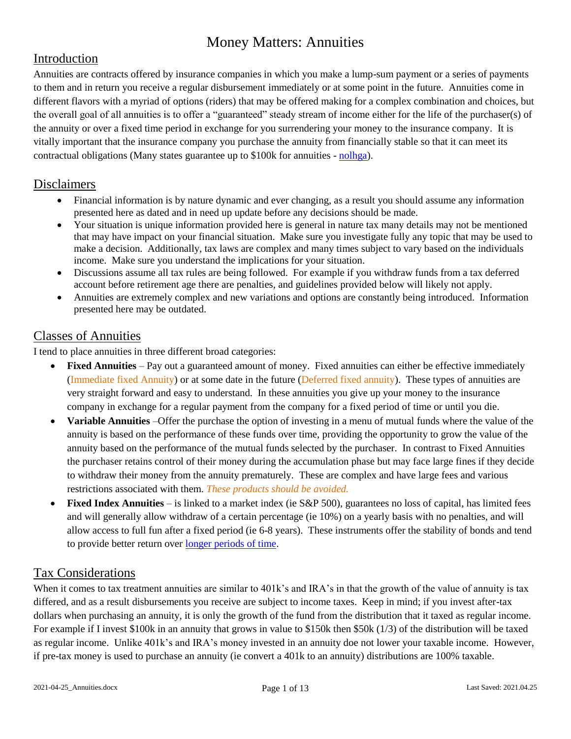#### Introduction

Annuities are contracts offered by insurance companies in which you make a lump-sum payment or a series of payments to them and in return you receive a regular disbursement immediately or at some point in the future. Annuities come in different flavors with a myriad of options (riders) that may be offered making for a complex combination and choices, but the overall goal of all annuities is to offer a "guaranteed" steady stream of income either for the life of the purchaser(s) of the annuity or over a fixed time period in exchange for you surrendering your money to the insurance company. It is vitally important that the insurance company you purchase the annuity from financially stable so that it can meet its contractual obligations (Many states guarantee up to \$100k for annuities - [nolhga\)](https://www.nolhga.com/).

#### Disclaimers

- Financial information is by nature dynamic and ever changing, as a result you should assume any information presented here as dated and in need up update before any decisions should be made.
- Your situation is unique information provided here is general in nature tax many details may not be mentioned that may have impact on your financial situation. Make sure you investigate fully any topic that may be used to make a decision. Additionally, tax laws are complex and many times subject to vary based on the individuals income. Make sure you understand the implications for your situation.
- Discussions assume all tax rules are being followed. For example if you withdraw funds from a tax deferred account before retirement age there are penalties, and guidelines provided below will likely not apply.
- Annuities are extremely complex and new variations and options are constantly being introduced. Information presented here may be outdated.

#### Classes of Annuities

I tend to place annuities in three different broad categories:

- **Fixed Annuities** Pay out a guaranteed amount of money. Fixed annuities can either be effective immediately (Immediate fixed Annuity) or at some date in the future (Deferred fixed annuity). These types of annuities are very straight forward and easy to understand. In these annuities you give up your money to the insurance company in exchange for a regular payment from the company for a fixed period of time or until you die.
- **Variable Annuities** –Offer the purchase the option of investing in a menu of mutual funds where the value of the annuity is based on the performance of these funds over time, providing the opportunity to grow the value of the annuity based on the performance of the mutual funds selected by the purchaser. In contrast to Fixed Annuities the purchaser retains control of their money during the accumulation phase but may face large fines if they decide to withdraw their money from the annuity prematurely. These are complex and have large fees and various restrictions associated with them. *These products should be avoided.*
- **Fixed Index Annuities**  is linked to a market index (ie S&P 500), guarantees no loss of capital, has limited fees and will generally allow withdraw of a certain percentage (ie 10%) on a yearly basis with no penalties, and will allow access to full fun after a fixed period (ie 6-8 years). These instruments offer the stability of bonds and tend to provide better return over [longer periods of time.](https://myannuitystore.com/annuities-vs-bonds/)

#### Tax Considerations

When it comes to tax treatment annuities are similar to 401k's and IRA's in that the growth of the value of annuity is tax differed, and as a result disbursements you receive are subject to income taxes. Keep in mind; if you invest after-tax dollars when purchasing an annuity, it is only the growth of the fund from the distribution that it taxed as regular income. For example if I invest \$100k in an annuity that grows in value to \$150k then \$50k (1/3) of the distribution will be taxed as regular income. Unlike 401k's and IRA's money invested in an annuity doe not lower your taxable income. However, if pre-tax money is used to purchase an annuity (ie convert a 401k to an annuity) distributions are 100% taxable.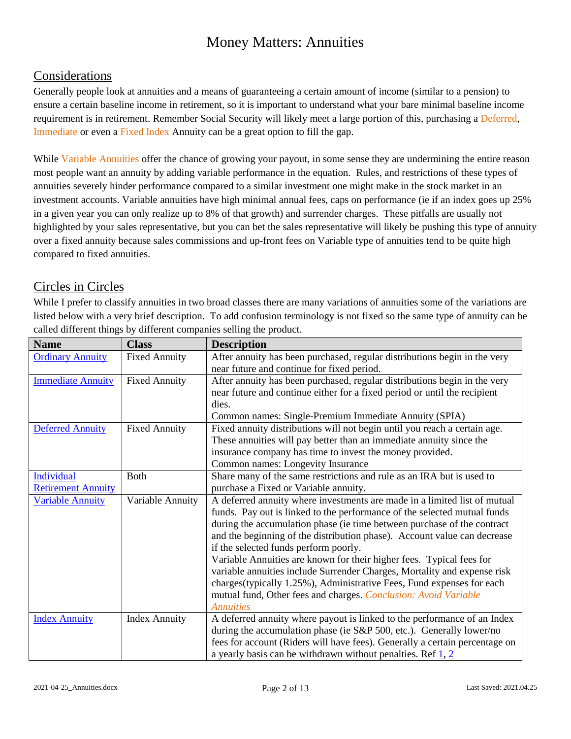#### Considerations

Generally people look at annuities and a means of guaranteeing a certain amount of income (similar to a pension) to ensure a certain baseline income in retirement, so it is important to understand what your bare minimal baseline income requirement is in retirement. Remember Social Security will likely meet a large portion of this, purchasing a Deferred, Immediate or even a Fixed Index Annuity can be a great option to fill the gap.

While Variable Annuities offer the chance of growing your payout, in some sense they are undermining the entire reason most people want an annuity by adding variable performance in the equation. Rules, and restrictions of these types of annuities severely hinder performance compared to a similar investment one might make in the stock market in an investment accounts. Variable annuities have high minimal annual fees, caps on performance (ie if an index goes up 25% in a given year you can only realize up to 8% of that growth) and surrender charges. These pitfalls are usually not highlighted by your sales representative, but you can bet the sales representative will likely be pushing this type of annuity over a fixed annuity because sales commissions and up-front fees on Variable type of annuities tend to be quite high compared to fixed annuities.

#### Circles in Circles

While I prefer to classify annuities in two broad classes there are many variations of annuities some of the variations are listed below with a very brief description. To add confusion terminology is not fixed so the same type of annuity can be called different things by different companies selling the product.

| <b>Name</b>               | <b>Class</b>         | <b>Description</b>                                                          |
|---------------------------|----------------------|-----------------------------------------------------------------------------|
| <b>Ordinary Annuity</b>   | <b>Fixed Annuity</b> | After annuity has been purchased, regular distributions begin in the very   |
|                           |                      | near future and continue for fixed period.                                  |
| <b>Immediate Annuity</b>  | <b>Fixed Annuity</b> | After annuity has been purchased, regular distributions begin in the very   |
|                           |                      | near future and continue either for a fixed period or until the recipient   |
|                           |                      | dies.                                                                       |
|                           |                      | Common names: Single-Premium Immediate Annuity (SPIA)                       |
| <b>Deferred Annuity</b>   | <b>Fixed Annuity</b> | Fixed annuity distributions will not begin until you reach a certain age.   |
|                           |                      | These annuities will pay better than an immediate annuity since the         |
|                           |                      | insurance company has time to invest the money provided.                    |
|                           |                      | Common names: Longevity Insurance                                           |
| Individual                | <b>Both</b>          | Share many of the same restrictions and rule as an IRA but is used to       |
| <b>Retirement Annuity</b> |                      | purchase a Fixed or Variable annuity.                                       |
| <b>Variable Annuity</b>   | Variable Annuity     | A deferred annuity where investments are made in a limited list of mutual   |
|                           |                      | funds. Pay out is linked to the performance of the selected mutual funds    |
|                           |                      | during the accumulation phase (ie time between purchase of the contract     |
|                           |                      | and the beginning of the distribution phase). Account value can decrease    |
|                           |                      | if the selected funds perform poorly.                                       |
|                           |                      | Variable Annuities are known for their higher fees. Typical fees for        |
|                           |                      | variable annuities include Surrender Charges, Mortality and expense risk    |
|                           |                      | charges(typically 1.25%), Administrative Fees, Fund expenses for each       |
|                           |                      | mutual fund, Other fees and charges. Conclusion: Avoid Variable             |
|                           |                      | <b>Annuities</b>                                                            |
| <b>Index Annuity</b>      | <b>Index Annuity</b> | A deferred annuity where payout is linked to the performance of an Index    |
|                           |                      | during the accumulation phase (ie S&P 500, etc.). Generally lower/no        |
|                           |                      | fees for account (Riders will have fees). Generally a certain percentage on |
|                           |                      | a yearly basis can be withdrawn without penalties. Ref $\frac{1}{2}$ , 2    |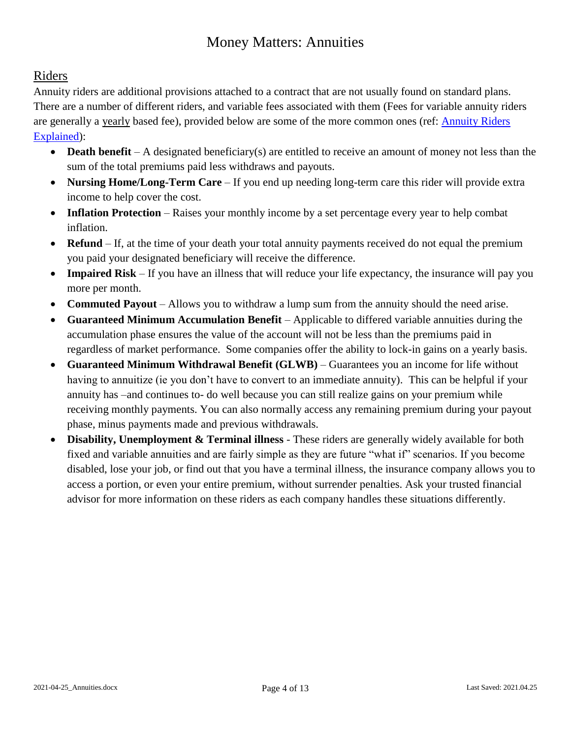#### Riders

Annuity riders are additional provisions attached to a contract that are not usually found on standard plans. There are a number of different riders, and variable fees associated with them (Fees for variable annuity riders are generally a yearly based fee), provided below are some of the more common ones (ref: **Annuity Riders** [Explained\)](https://www.annuitieshq.com/articles/annuity-riders-explained/):

- **Death benefit** A designated beneficiary(s) are entitled to receive an amount of money not less than the sum of the total premiums paid less withdraws and payouts.
- **Nursing Home/Long-Term Care** If you end up needing long-term care this rider will provide extra income to help cover the cost.
- **Inflation Protection** Raises your monthly income by a set percentage every year to help combat inflation.
- **Refund** If, at the time of your death your total annuity payments received do not equal the premium you paid your designated beneficiary will receive the difference.
- **Impaired Risk**  If you have an illness that will reduce your life expectancy, the insurance will pay you more per month.
- **Commuted Payout** Allows you to withdraw a lump sum from the annuity should the need arise.
- **Guaranteed Minimum Accumulation Benefit**  Applicable to differed variable annuities during the accumulation phase ensures the value of the account will not be less than the premiums paid in regardless of market performance. Some companies offer the ability to lock-in gains on a yearly basis.
- **Guaranteed Minimum Withdrawal Benefit (GLWB)** Guarantees you an income for life without having to annuitize (ie you don't have to convert to an immediate annuity). This can be helpful if your annuity has –and continues to- do well because you can still realize gains on your premium while receiving monthly payments. You can also normally access any remaining premium during your payout phase, minus payments made and previous withdrawals.
- **Disability, Unemployment & Terminal illness**  These riders are generally widely available for both fixed and variable annuities and are fairly simple as they are future "what if" scenarios. If you become disabled, lose your job, or find out that you have a terminal illness, the insurance company allows you to access a portion, or even your entire premium, without surrender penalties. Ask your trusted financial advisor for more information on these riders as each company handles these situations differently.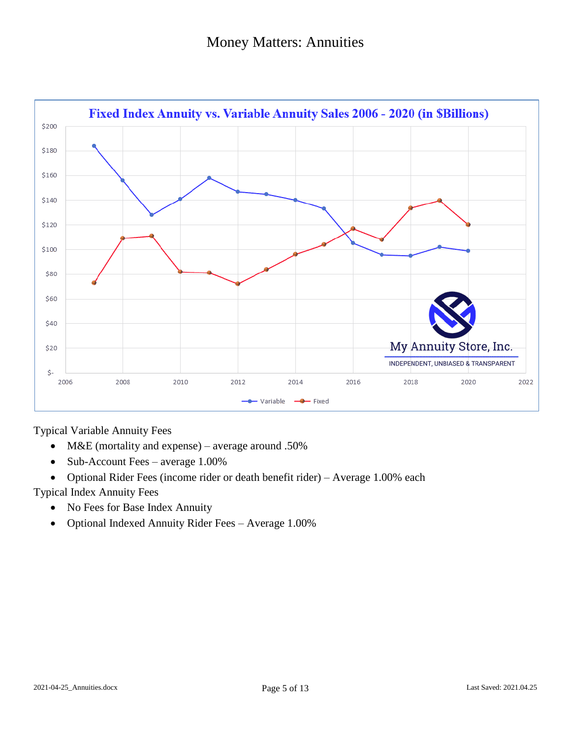

Typical Variable Annuity Fees

- M&E (mortality and expense) average around .50%
- Sub-Account Fees average 1.00%
- Optional Rider Fees (income rider or death benefit rider) Average 1.00% each

Typical Index Annuity Fees

- No Fees for Base Index Annuity
- Optional Indexed Annuity Rider Fees Average 1.00%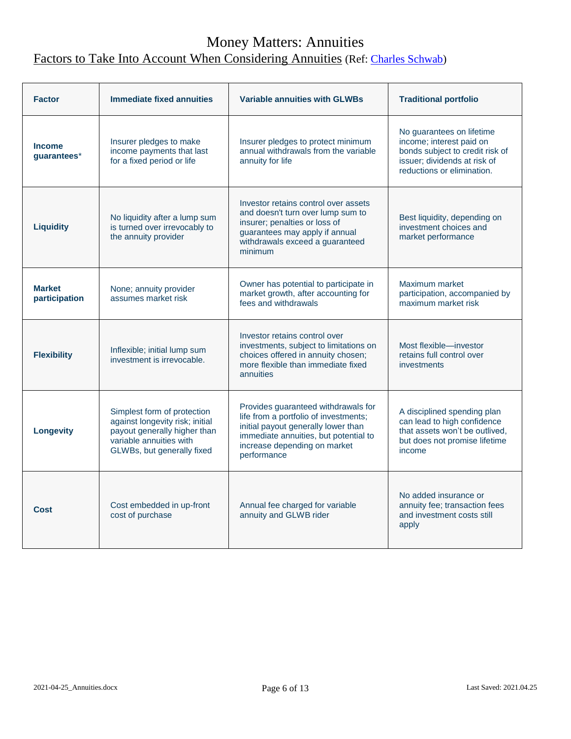### Money Matters: Annuities Factors to Take Into Account When Considering Annuities (Ref: [Charles Schwab\)](https://www.schwabassetmanagement.com/content/two-types-of-annuities-for-retirement-income)

| <b>Factor</b>                  | <b>Immediate fixed annuities</b>                                                                                                                        | <b>Variable annuities with GLWBs</b>                                                                                                                                                                        | <b>Traditional portfolio</b>                                                                                                                           |
|--------------------------------|---------------------------------------------------------------------------------------------------------------------------------------------------------|-------------------------------------------------------------------------------------------------------------------------------------------------------------------------------------------------------------|--------------------------------------------------------------------------------------------------------------------------------------------------------|
| <b>Income</b><br>guarantees*   | Insurer pledges to make<br>income payments that last<br>for a fixed period or life                                                                      | Insurer pledges to protect minimum<br>annual withdrawals from the variable<br>annuity for life                                                                                                              | No guarantees on lifetime<br>income; interest paid on<br>bonds subject to credit risk of<br>issuer; dividends at risk of<br>reductions or elimination. |
| <b>Liquidity</b>               | No liquidity after a lump sum<br>is turned over irrevocably to<br>the annuity provider                                                                  | Investor retains control over assets<br>and doesn't turn over lump sum to<br>insurer; penalties or loss of<br>guarantees may apply if annual<br>withdrawals exceed a guaranteed<br>minimum                  | Best liquidity, depending on<br>investment choices and<br>market performance                                                                           |
| <b>Market</b><br>participation | None; annuity provider<br>assumes market risk                                                                                                           | Owner has potential to participate in<br>market growth, after accounting for<br>fees and withdrawals                                                                                                        | Maximum market<br>participation, accompanied by<br>maximum market risk                                                                                 |
| <b>Flexibility</b>             | Inflexible; initial lump sum<br>investment is irrevocable.                                                                                              | Investor retains control over<br>investments, subject to limitations on<br>choices offered in annuity chosen;<br>more flexible than immediate fixed<br>annuities                                            | Most flexible-investor<br>retains full control over<br><i>investments</i>                                                                              |
| <b>Longevity</b>               | Simplest form of protection<br>against longevity risk; initial<br>payout generally higher than<br>variable annuities with<br>GLWBs, but generally fixed | Provides guaranteed withdrawals for<br>life from a portfolio of investments;<br>initial payout generally lower than<br>immediate annuities, but potential to<br>increase depending on market<br>performance | A disciplined spending plan<br>can lead to high confidence<br>that assets won't be outlived,<br>but does not promise lifetime<br>income                |
| <b>Cost</b>                    | Cost embedded in up-front<br>cost of purchase                                                                                                           | Annual fee charged for variable<br>annuity and GLWB rider                                                                                                                                                   | No added insurance or<br>annuity fee; transaction fees<br>and investment costs still<br>apply                                                          |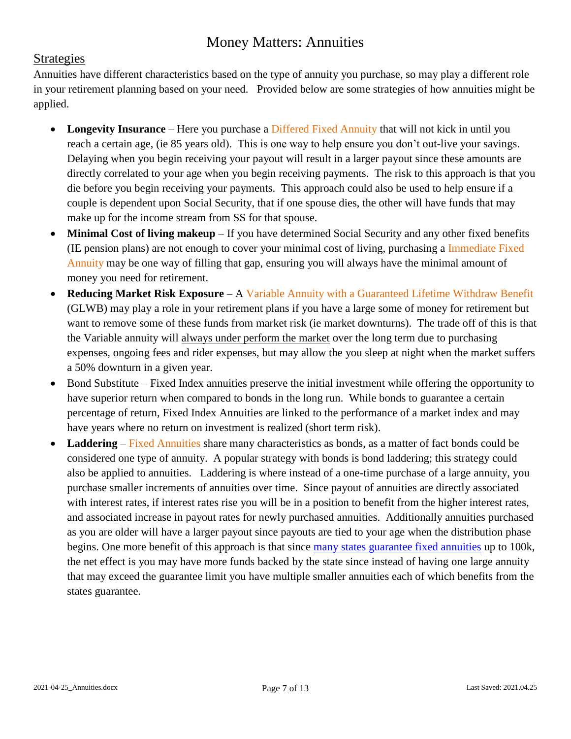#### **Strategies**

Annuities have different characteristics based on the type of annuity you purchase, so may play a different role in your retirement planning based on your need. Provided below are some strategies of how annuities might be applied.

- Longevity Insurance Here you purchase a Differed Fixed Annuity that will not kick in until you reach a certain age, (ie 85 years old). This is one way to help ensure you don't out-live your savings. Delaying when you begin receiving your payout will result in a larger payout since these amounts are directly correlated to your age when you begin receiving payments. The risk to this approach is that you die before you begin receiving your payments. This approach could also be used to help ensure if a couple is dependent upon Social Security, that if one spouse dies, the other will have funds that may make up for the income stream from SS for that spouse.
- **Minimal Cost of living makeup**  If you have determined Social Security and any other fixed benefits (IE pension plans) are not enough to cover your minimal cost of living, purchasing a Immediate Fixed Annuity may be one way of filling that gap, ensuring you will always have the minimal amount of money you need for retirement.
- **Reducing Market Risk Exposure**  A Variable Annuity with a Guaranteed Lifetime Withdraw Benefit (GLWB) may play a role in your retirement plans if you have a large some of money for retirement but want to remove some of these funds from market risk (ie market downturns). The trade off of this is that the Variable annuity will always under perform the market over the long term due to purchasing expenses, ongoing fees and rider expenses, but may allow the you sleep at night when the market suffers a 50% downturn in a given year.
- Bond Substitute Fixed Index annuities preserve the initial investment while offering the opportunity to have superior return when compared to bonds in the long run. While bonds to guarantee a certain percentage of return, Fixed Index Annuities are linked to the performance of a market index and may have years where no return on investment is realized (short term risk).
- **Laddering** Fixed Annuities share many characteristics as bonds, as a matter of fact bonds could be considered one type of annuity. A popular strategy with bonds is bond laddering; this strategy could also be applied to annuities. Laddering is where instead of a one-time purchase of a large annuity, you purchase smaller increments of annuities over time. Since payout of annuities are directly associated with interest rates, if interest rates rise you will be in a position to benefit from the higher interest rates, and associated increase in payout rates for newly purchased annuities. Additionally annuities purchased as you are older will have a larger payout since payouts are tied to your age when the distribution phase begins. One more benefit of this approach is that since [many states guarantee fixed annuities](https://www.nolhga.com/) up to 100k, the net effect is you may have more funds backed by the state since instead of having one large annuity that may exceed the guarantee limit you have multiple smaller annuities each of which benefits from the states guarantee.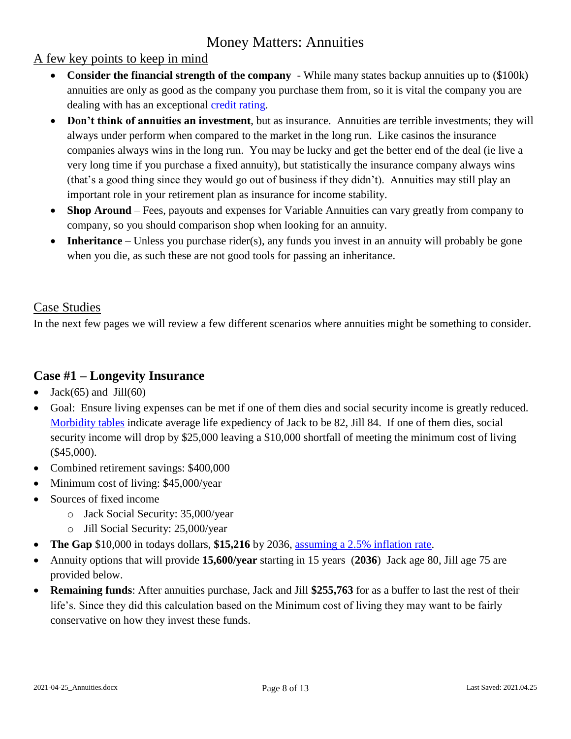#### A few key points to keep in mind

- **Consider the financial strength of the company** While many states backup annuities up to (\$100k) annuities are only as good as the company you purchase them from, so it is vital the company you are dealing with has an exceptional [credit rating.](https://www.annuity.org/annuities/providers/ratings/)
- **Don't think of annuities an investment**, but as insurance. Annuities are terrible investments; they will always under perform when compared to the market in the long run. Like casinos the insurance companies always wins in the long run. You may be lucky and get the better end of the deal (ie live a very long time if you purchase a fixed annuity), but statistically the insurance company always wins (that's a good thing since they would go out of business if they didn't). Annuities may still play an important role in your retirement plan as insurance for income stability.
- Shop Around Fees, payouts and expenses for Variable Annuities can vary greatly from company to company, so you should comparison shop when looking for an annuity.
- **Inheritance** Unless you purchase rider(s), any funds you invest in an annuity will probably be gone when you die, as such these are not good tools for passing an inheritance.

#### Case Studies

In the next few pages we will review a few different scenarios where annuities might be something to consider.

### **Case #1 – Longevity Insurance**

- Jack $(65)$  and Jill $(60)$
- Goal: Ensure living expenses can be met if one of them dies and social security income is greatly reduced. [Morbidity tables](https://www.calcxml.com/do/ins02?lang=en) indicate average life expediency of Jack to be 82, Jill 84. If one of them dies, social security income will drop by \$25,000 leaving a \$10,000 shortfall of meeting the minimum cost of living (\$45,000).
- Combined retirement savings: \$400,000
- Minimum cost of living: \$45,000/year
- Sources of fixed income
	- o Jack Social Security: 35,000/year
	- o Jill Social Security: 25,000/year
- **The Gap** \$10,000 in todays dollars, **\$15,216** by 2036, [assuming a 2.5% inflation rate.](https://www.calcxml.com/do/ret05?lang=en)
- Annuity options that will provide **15,600/year** starting in 15 years (**2036**) Jack age 80, Jill age 75 are provided below.
- **Remaining funds**: After annuities purchase, Jack and Jill **\$255,763** for as a buffer to last the rest of their life's. Since they did this calculation based on the Minimum cost of living they may want to be fairly conservative on how they invest these funds.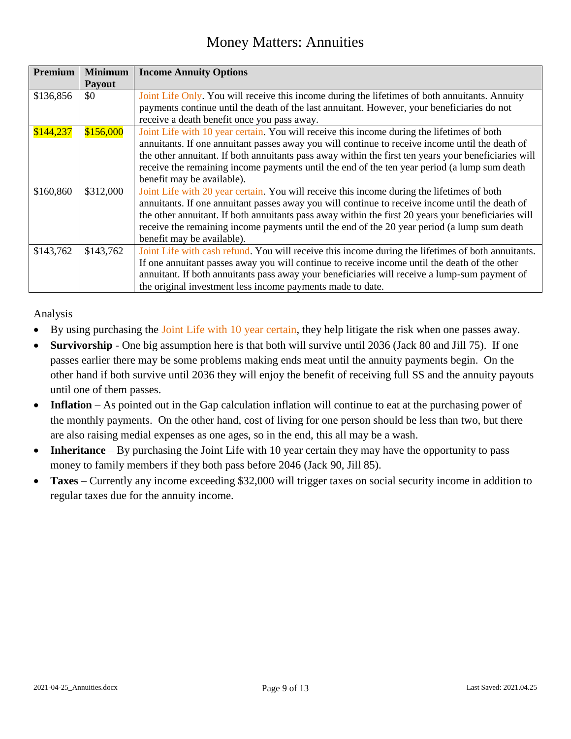| Premium   | <b>Minimum</b> | <b>Income Annuity Options</b>                                                                        |  |
|-----------|----------------|------------------------------------------------------------------------------------------------------|--|
|           | Payout         |                                                                                                      |  |
| \$136,856 | \$0            | Joint Life Only. You will receive this income during the lifetimes of both annuitants. Annuity       |  |
|           |                | payments continue until the death of the last annuitant. However, your beneficiaries do not          |  |
|           |                | receive a death benefit once you pass away.                                                          |  |
| \$144,237 | \$156,000      | Joint Life with 10 year certain. You will receive this income during the lifetimes of both           |  |
|           |                | annuitants. If one annuitant passes away you will continue to receive income until the death of      |  |
|           |                | the other annuitant. If both annuitants pass away within the first ten years your beneficiaries will |  |
|           |                | receive the remaining income payments until the end of the ten year period (a lump sum death         |  |
|           |                | benefit may be available).                                                                           |  |
| \$160,860 | \$312,000      | Joint Life with 20 year certain. You will receive this income during the lifetimes of both           |  |
|           |                | annuitants. If one annuitant passes away you will continue to receive income until the death of      |  |
|           |                | the other annuitant. If both annuitants pass away within the first 20 years your beneficiaries will  |  |
|           |                | receive the remaining income payments until the end of the 20 year period (a lump sum death          |  |
|           |                | benefit may be available).                                                                           |  |
| \$143,762 | \$143,762      | Joint Life with cash refund. You will receive this income during the lifetimes of both annuitants.   |  |
|           |                | If one annuitant passes away you will continue to receive income until the death of the other        |  |
|           |                | annuitant. If both annuitants pass away your beneficiaries will receive a lump-sum payment of        |  |
|           |                | the original investment less income payments made to date.                                           |  |

Analysis

- By using purchasing the Joint Life with 10 year certain, they help litigate the risk when one passes away.
- **Survivorship**  One big assumption here is that both will survive until 2036 (Jack 80 and Jill 75). If one passes earlier there may be some problems making ends meat until the annuity payments begin. On the other hand if both survive until 2036 they will enjoy the benefit of receiving full SS and the annuity payouts until one of them passes.
- Inflation As pointed out in the Gap calculation inflation will continue to eat at the purchasing power of the monthly payments. On the other hand, cost of living for one person should be less than two, but there are also raising medial expenses as one ages, so in the end, this all may be a wash.
- **Inheritance** By purchasing the Joint Life with 10 year certain they may have the opportunity to pass money to family members if they both pass before 2046 (Jack 90, Jill 85).
- **Taxes** Currently any income exceeding \$32,000 will trigger taxes on social security income in addition to regular taxes due for the annuity income.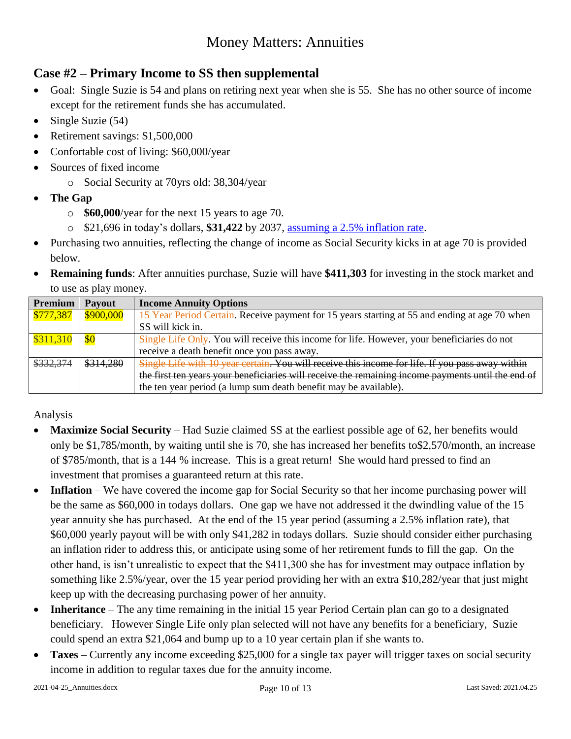### **Case #2 – Primary Income to SS then supplemental**

- Goal: Single Suzie is 54 and plans on retiring next year when she is 55. She has no other source of income except for the retirement funds she has accumulated.
- $\bullet$  Single Suzie (54)
- Retirement savings: \$1,500,000
- Confortable cost of living: \$60,000/year
- Sources of fixed income
	- o Social Security at 70yrs old: 38,304/year
- **The Gap**
	- o **\$60,000**/year for the next 15 years to age 70.
	- o \$21,696 in today's dollars, **\$31,422** by 2037, [assuming a 2.5% inflation rate.](https://www.calcxml.com/do/ret05?lang=en)
- Purchasing two annuities, reflecting the change of income as Social Security kicks in at age 70 is provided below.
- **Remaining funds**: After annuities purchase, Suzie will have **\$411,303** for investing in the stock market and to use as play money.

| Premium   | <b>Payout</b> | <b>Income Annuity Options</b>                                                                      |
|-----------|---------------|----------------------------------------------------------------------------------------------------|
| \$777,387 | \$900,000     | 15 Year Period Certain. Receive payment for 15 years starting at 55 and ending at age 70 when      |
|           |               | SS will kick in.                                                                                   |
| \$311,310 |               | Single Life Only. You will receive this income for life. However, your beneficiaries do not        |
|           |               | receive a death benefit once you pass away.                                                        |
| \$332,374 | \$314,280     | Single Life with 10 year certain. You will receive this income for life. If you pass away within   |
|           |               | the first ten years your beneficiaries will receive the remaining income payments until the end of |
|           |               | the ten year period (a lump sum death benefit may be available).                                   |

Analysis

- **Maximize Social Security** Had Suzie claimed SS at the earliest possible age of 62, her benefits would only be \$1,785/month, by waiting until she is 70, she has increased her benefits to\$2,570/month, an increase of \$785/month, that is a 144 % increase. This is a great return! She would hard pressed to find an investment that promises a guaranteed return at this rate.
- **Inflation**  We have covered the income gap for Social Security so that her income purchasing power will be the same as \$60,000 in todays dollars. One gap we have not addressed it the dwindling value of the 15 year annuity she has purchased. At the end of the 15 year period (assuming a 2.5% inflation rate), that \$60,000 yearly payout will be with only \$41,282 in todays dollars. Suzie should consider either purchasing an inflation rider to address this, or anticipate using some of her retirement funds to fill the gap. On the other hand, is isn't unrealistic to expect that the \$411,300 she has for investment may outpace inflation by something like 2.5%/year, over the 15 year period providing her with an extra \$10,282/year that just might keep up with the decreasing purchasing power of her annuity.
- **Inheritance** The any time remaining in the initial 15 year Period Certain plan can go to a designated beneficiary. However Single Life only plan selected will not have any benefits for a beneficiary, Suzie could spend an extra \$21,064 and bump up to a 10 year certain plan if she wants to.
- **Taxes** Currently any income exceeding \$25,000 for a single tax payer will trigger taxes on social security income in addition to regular taxes due for the annuity income.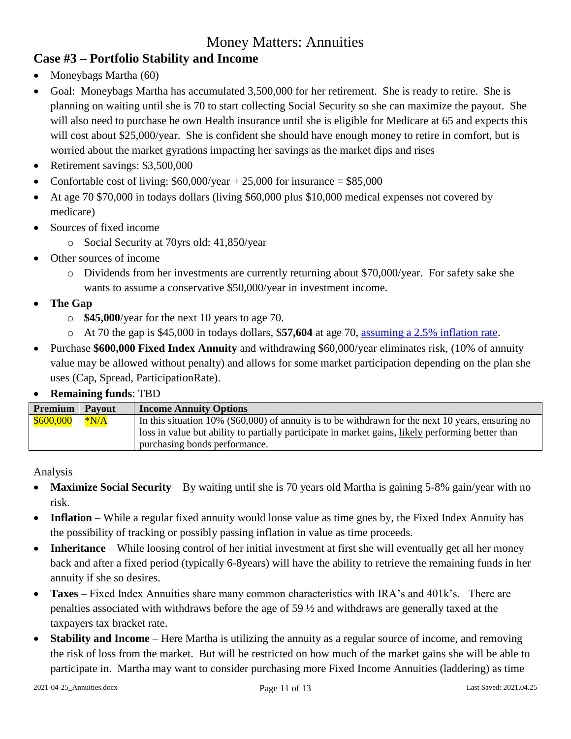### **Case #3 – Portfolio Stability and Income**

- Moneybags Martha (60)
- Goal: Moneybags Martha has accumulated 3,500,000 for her retirement. She is ready to retire. She is planning on waiting until she is 70 to start collecting Social Security so she can maximize the payout. She will also need to purchase he own Health insurance until she is eligible for Medicare at 65 and expects this will cost about \$25,000/year. She is confident she should have enough money to retire in comfort, but is worried about the market gyrations impacting her savings as the market dips and rises
- Retirement savings: \$3,500,000
- Confortable cost of living:  $$60,000/year + 25,000$  for insurance =  $$85,000$
- At age 70 \$70,000 in todays dollars (living \$60,000 plus \$10,000 medical expenses not covered by medicare)
- Sources of fixed income
	- o Social Security at 70yrs old: 41,850/year
- Other sources of income
	- o Dividends from her investments are currently returning about \$70,000/year. For safety sake she wants to assume a conservative \$50,000/year in investment income.
- **The Gap**
	- o **\$45,000**/year for the next 10 years to age 70.
	- o At 70 the gap is \$45,000 in todays dollars, \$**57,604** at age 70, [assuming a 2.5% inflation rate.](https://www.calcxml.com/do/ret05?lang=en)
- Purchase **\$600,000 Fixed Index Annuity** and withdrawing \$60,000/year eliminates risk, (10% of annuity value may be allowed without penalty) and allows for some market participation depending on the plan she uses (Cap, Spread, ParticipationRate).

#### **Remaining funds**: TBD

| <b>Premium</b>   Payout | <b>Income Annuity Options</b>                                                                        |
|-------------------------|------------------------------------------------------------------------------------------------------|
| $$600,000$ $*NA$        | In this situation $10\%$ (\$60,000) of annuity is to be withdrawn for the next 10 years, ensuring no |
|                         | loss in value but ability to partially participate in market gains, likely performing better than    |
|                         | purchasing bonds performance.                                                                        |

Analysis

- **Maximize Social Security** By waiting until she is 70 years old Martha is gaining 5-8% gain/year with no risk.
- Inflation While a regular fixed annuity would loose value as time goes by, the Fixed Index Annuity has the possibility of tracking or possibly passing inflation in value as time proceeds.
- **Inheritance** While loosing control of her initial investment at first she will eventually get all her money back and after a fixed period (typically 6-8years) will have the ability to retrieve the remaining funds in her annuity if she so desires.
- **Taxes**  Fixed Index Annuities share many common characteristics with IRA's and 401k's. There are penalties associated with withdraws before the age of 59 ½ and withdraws are generally taxed at the taxpayers tax bracket rate.
- **Stability and Income** Here Martha is utilizing the annuity as a regular source of income, and removing the risk of loss from the market. But will be restricted on how much of the market gains she will be able to participate in. Martha may want to consider purchasing more Fixed Income Annuities (laddering) as time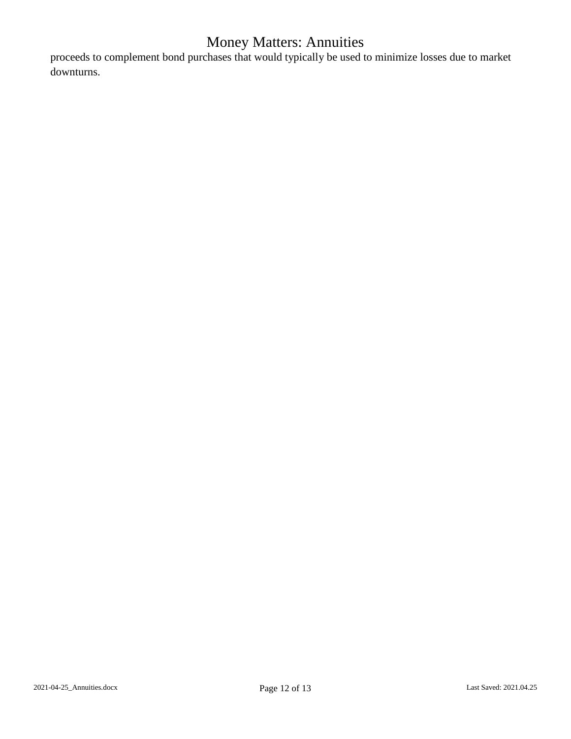proceeds to complement bond purchases that would typically be used to minimize losses due to market downturns.